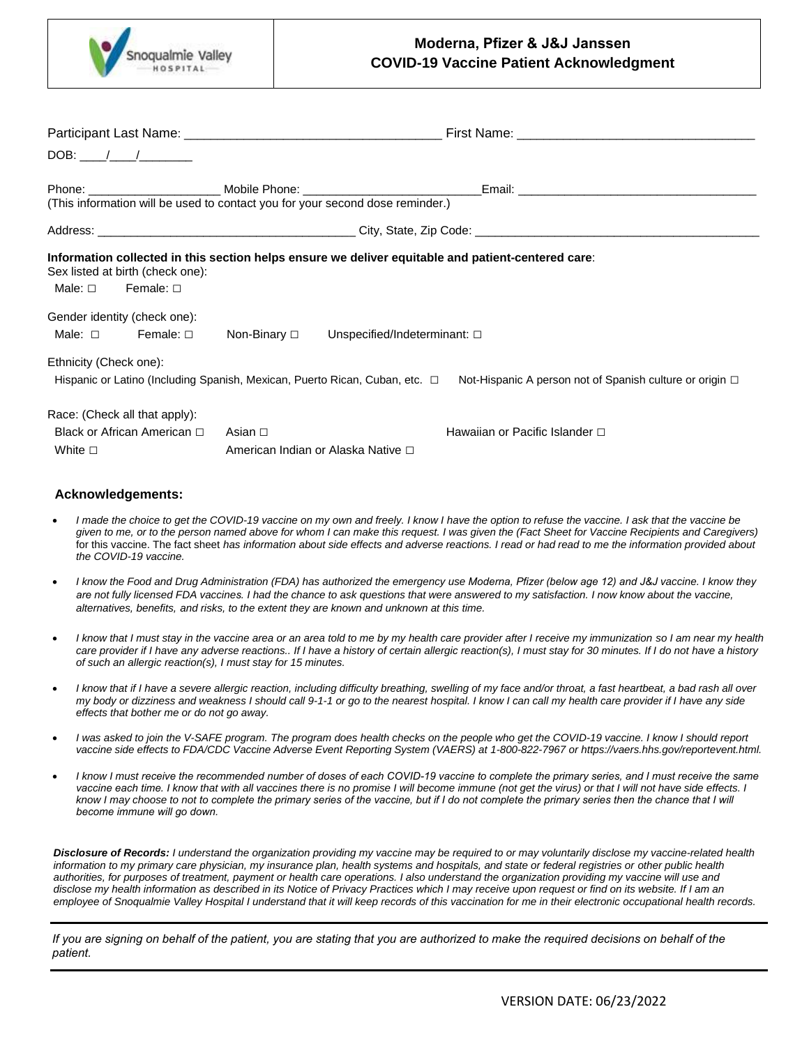

# **Moderna, Pfizer & J&J Janssen COVID-19 Vaccine Patient Acknowledgment**

|                             | DOB: $/$ /                                                            |                                    |                                                                               |                                                                                                                                      |
|-----------------------------|-----------------------------------------------------------------------|------------------------------------|-------------------------------------------------------------------------------|--------------------------------------------------------------------------------------------------------------------------------------|
|                             |                                                                       |                                    | (This information will be used to contact you for your second dose reminder.) |                                                                                                                                      |
|                             |                                                                       |                                    |                                                                               |                                                                                                                                      |
|                             | Sex listed at birth (check one):<br>Male: $\square$ Female: $\square$ |                                    |                                                                               | Information collected in this section helps ensure we deliver equitable and patient-centered care:                                   |
|                             | Gender identity (check one):                                          |                                    |                                                                               |                                                                                                                                      |
| Male: □                     | Female: □                                                             |                                    | Non-Binary $\square$ Unspecified/Indeterminant: $\square$                     |                                                                                                                                      |
| Ethnicity (Check one):      |                                                                       |                                    |                                                                               | Hispanic or Latino (Including Spanish, Mexican, Puerto Rican, Cuban, etc. □ Not-Hispanic A person not of Spanish culture or origin □ |
|                             | Race: (Check all that apply):                                         |                                    |                                                                               |                                                                                                                                      |
| Black or African American □ |                                                                       | Asian ⊡                            |                                                                               | Hawaiian or Pacific Islander $\Box$                                                                                                  |
| White $\square$             |                                                                       | American Indian or Alaska Native □ |                                                                               |                                                                                                                                      |

#### **Acknowledgements:**

- *I made the choice to get the COVID-19 vaccine on my own and freely. I know I have the option to refuse the vaccine. I ask that the vaccine be given to me, or to the person named above for whom I can make this request. I was given the (Fact Sheet for Vaccine Recipients and Caregivers)* for this vaccine. The fact sheet *has information about side effects and adverse reactions. I read or had read to me the information provided about the COVID-19 vaccine.*
- *I know the Food and Drug Administration (FDA) has authorized the emergency use Moderna, Pfizer (below age 12) and J&J vaccine. I know they are not fully licensed FDA vaccines. I had the chance to ask questions that were answered to my satisfaction. I now know about the vaccine, alternatives, benefits, and risks, to the extent they are known and unknown at this time.*
- *I know that I must stay in the vaccine area or an area told to me by my health care provider after I receive my immunization so I am near my health care provider if I have any adverse reactions.. If I have a history of certain allergic reaction(s), I must stay for 30 minutes. If I do not have a history of such an allergic reaction(s), I must stay for 15 minutes.*
- *I know that if I have a severe allergic reaction, including difficulty breathing, swelling of my face and/or throat, a fast heartbeat, a bad rash all over my body or dizziness and weakness I should call 9-1-1 or go to the nearest hospital. I know I can call my health care provider if I have any side effects that bother me or do not go away.*
- *I was asked to join the V-SAFE program. The program does health checks on the people who get the COVID-19 vaccine. I know I should report vaccine side effects to FDA/CDC Vaccine Adverse Event Reporting System (VAERS) at 1-800-822-7967 or https://vaers.hhs.gov/reportevent.html.*
- *I know I must receive the recommended number of doses of each COVID-19 vaccine to complete the primary series, and I must receive the same*  vaccine each time. I know that with all vaccines there is no promise I will become immune (not get the virus) or that I will not have side effects. I *know I may choose to not to complete the primary series of the vaccine, but if I do not complete the primary series then the chance that I will become immune will go down.*

*Disclosure of Records: I understand the organization providing my vaccine may be required to or may voluntarily disclose my vaccine-related health information to my primary care physician, my insurance plan, health systems and hospitals, and state or federal registries or other public health authorities, for purposes of treatment, payment or health care operations. I also understand the organization providing my vaccine will use and disclose my health information as described in its Notice of Privacy Practices which I may receive upon request or find on its website. If I am an*  employee of Snoqualmie Valley Hospital I understand that it will keep records of this vaccination for me in their electronic occupational health records.

*If you are signing on behalf of the patient, you are stating that you are authorized to make the required decisions on behalf of the patient.*